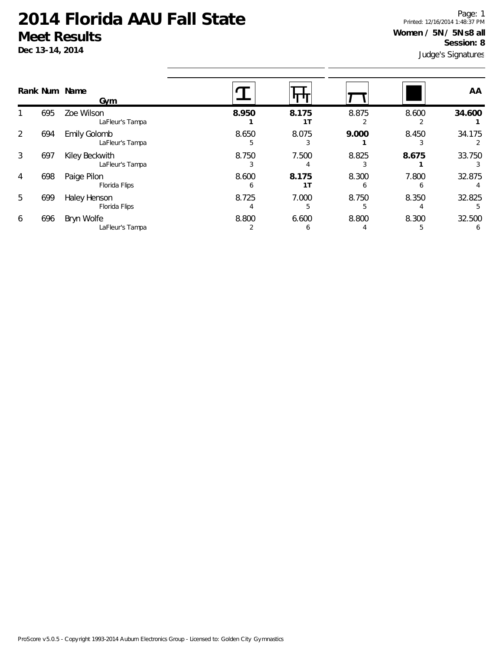**Dec 13-14, 2014**

Judge's Signatures Page: 1 Printed: 12/16/2014 1:48:37 PM **Women / 5N / 5N s8 all Session: 8**

|   |     | Rank Num Name<br>Gym                   |       |            |       |            | AA     |
|---|-----|----------------------------------------|-------|------------|-------|------------|--------|
|   | 695 | Zoe Wilson<br>LaFleur's Tampa          | 8.950 | 8.175      | 8.875 | 8.600      | 34.600 |
| 2 | 694 | <b>Emily Golomb</b><br>LaFleur's Tampa | 8.650 | 8.075      | 9.000 | 8.450      | 34.175 |
| 3 | 697 | Kiley Beckwith<br>LaFleur's Tampa      | 8.750 | 7.500      | 8.825 | 8.675      | 33.750 |
| 4 | 698 | Paige Pilon<br>Florida Flips           | 8.600 | 8.175      | 8.300 | 7.800<br>h | 32.875 |
| 5 | 699 | Haley Henson<br>Florida Flips          | 8.725 | 7.000<br>5 | 8.750 | 8.350      | 32.825 |
| 6 | 696 | Bryn Wolfe<br>LaFleur's Tampa          | 8.800 | 6.600<br>O | 8.800 | 8.300      | 32.500 |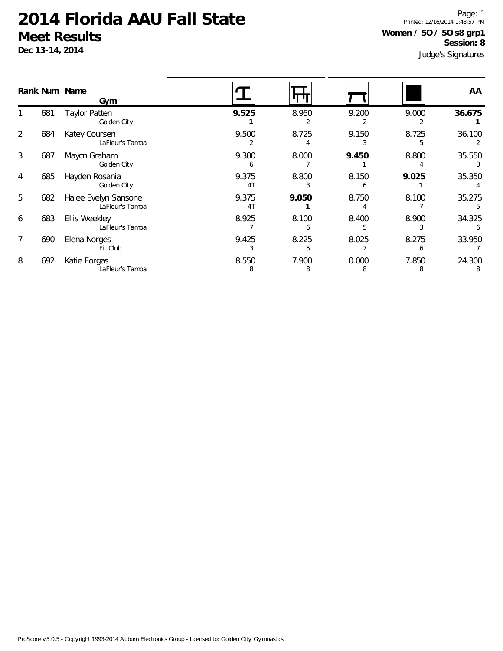**Dec 13-14, 2014**

Judge's Signatures Page: 1 Printed: 12/16/2014 1:48:57 PM **Women / 5O / 5O s8 grp1 Session: 8**

|   |     | Rank Num Name<br>Gym                    |                         |            |            |            | AA          |
|---|-----|-----------------------------------------|-------------------------|------------|------------|------------|-------------|
|   | 681 | <b>Taylor Patten</b><br>Golden City     | 9.525                   | 8.950      | 9.200      | 9.000      | 36.675      |
| 2 | 684 | Katey Coursen<br>LaFleur's Tampa        | 9.500                   | 8.725      | 9.150      | 8.725      | 36.100      |
| 3 | 687 | Maycn Graham<br>Golden City             | 9.300<br>b              | 8.000      | 9.450      | 8.800      | 35.550      |
| 4 | 685 | Hayden Rosania<br>Golden City           | 9.375<br>4T             | 8.800      | 8.150      | 9.025      | 35.350      |
| 5 | 682 | Halee Evelyn Sansone<br>LaFleur's Tampa | 9.375<br>4 <sub>1</sub> | 9.050      | 8.750      | 8.100      | 35.275      |
| 6 | 683 | Ellis Weekley<br>LaFleur's Tampa        | 8.925                   | 8.100      | 8.400      | 8.900      | 34.325      |
| 7 | 690 | Elena Norges<br>Fit Club                | 9.425                   | 8.225<br>5 | 8.025      | 8.275      | 33.950      |
| 8 | 692 | Katie Forgas<br>LaFleur's Tampa         | 8.550<br>8              | 7.900<br>8 | 0.000<br>8 | 7.850<br>8 | 24.300<br>8 |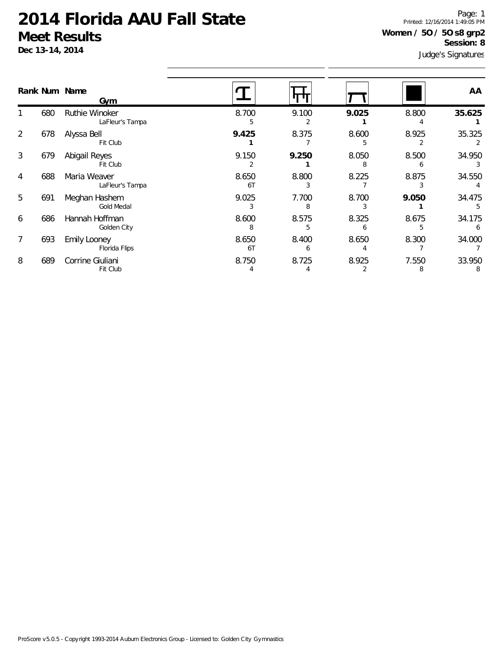**Dec 13-14, 2014**

Judge's Signatures Page: 1 Printed: 12/16/2014 1:49:05 PM **Women / 5O / 5O s8 grp2 Session: 8**

|   |     | Rank Num Name<br>Gym                     |             |            |            |            | AA          |
|---|-----|------------------------------------------|-------------|------------|------------|------------|-------------|
|   | 680 | <b>Ruthie Winoker</b><br>LaFleur's Tampa | 8.700       | 9.100      | 9.025      | 8.800      | 35.625      |
| 2 | 678 | Alyssa Bell<br>Fit Club                  | 9.425       | 8.375      | 8.600      | 8.925      | 35.325      |
| 3 | 679 | Abigail Reyes<br>Fit Club                | 9.150       | 9.250      | 8.050<br>8 | 8.500<br>6 | 34.950      |
| 4 | 688 | Maria Weaver<br>LaFleur's Tampa          | 8.650<br>6T | 8.800      | 8.225      | 8.875      | 34.550      |
| 5 | 691 | Meghan Hashem<br>Gold Medal              | 9.025       | 7.700<br>8 | 8.700      | 9.050      | 34.475      |
| 6 | 686 | Hannah Hoffman<br>Golden City            | 8.600<br>8  | 8.575<br>5 | 8.325<br>6 | 8.675      | 34.175<br>6 |
| 7 | 693 | <b>Emily Looney</b><br>Florida Flips     | 8.650<br>6T | 8.400<br>6 | 8.650      | 8.300      | 34.000      |
| 8 | 689 | Corrine Giuliani<br>Fit Club             | 8.750       | 8.725      | 8.925<br>2 | 7.550<br>8 | 33.950<br>8 |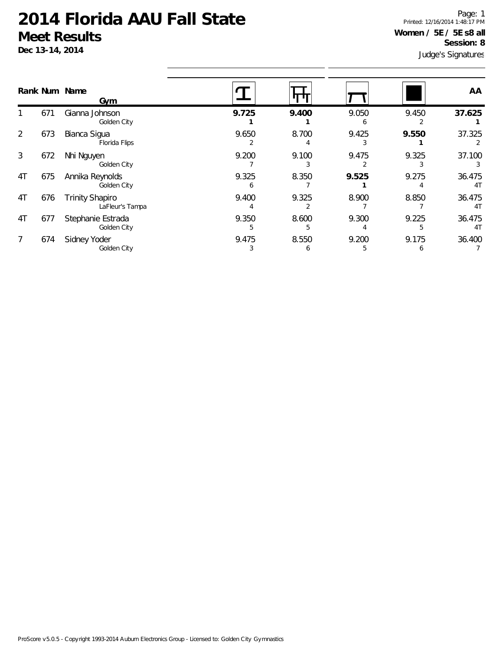**Dec 13-14, 2014**

Judge's Signatures Page: 1 Printed: 12/16/2014 1:48:17 PM **Women / 5E / 5E s8 all Session: 8**

|    |     | Rank Num Name<br>Gym                      |            |            |            |            | AA                       |
|----|-----|-------------------------------------------|------------|------------|------------|------------|--------------------------|
|    | 671 | Gianna Johnson<br>Golden City             | 9.725      | 9.400      | 9.050<br>h | 9.450      | 37.625                   |
| 2  | 673 | Bianca Sigua<br>Florida Flips             | 9.650      | 8.700      | 9.425      | 9.550      | 37.325                   |
| 3  | 672 | Nhi Nguyen<br>Golden City                 | 9.200      | 9.100      | 9.475      | 9.325      | 37.100                   |
| 4T | 675 | Annika Reynolds<br>Golden City            | 9.325<br>6 | 8.350      | 9.525      | 9.275      | 36.475<br>4 <sub>T</sub> |
| 4T | 676 | <b>Trinity Shapiro</b><br>LaFleur's Tampa | 9.400      | 9.325      | 8.900      | 8.850      | 36.475<br>4 <sub>T</sub> |
| 4T | 677 | Stephanie Estrada<br>Golden City          | 9.350<br>5 | 8.600<br>5 | 9.300      | 9.225<br>5 | 36.475<br>4 <sub>T</sub> |
|    | 674 | Sidney Yoder<br>Golden City               | 9.475      | 8.550<br>b | 9.200<br>5 | 9.175<br>b | 36.400                   |
|    |     |                                           |            |            |            |            |                          |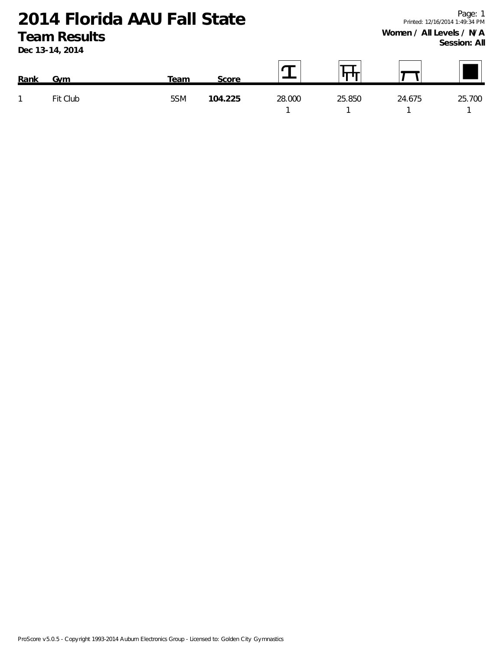**Dec 13-14, 2014**

| Rank | Gvm      | Team | score   |        |        |        |        |
|------|----------|------|---------|--------|--------|--------|--------|
| z    | Fit Club | 5SM  | 104.225 | 28.000 | 25.850 | 24.675 | 25.700 |